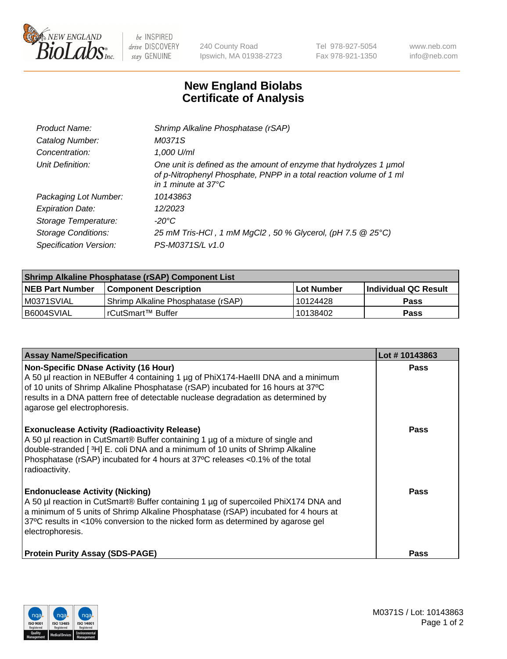

 $be$  INSPIRED drive DISCOVERY stay GENUINE

240 County Road Ipswich, MA 01938-2723 Tel 978-927-5054 Fax 978-921-1350 www.neb.com info@neb.com

## **New England Biolabs Certificate of Analysis**

| Product Name:           | Shrimp Alkaline Phosphatase (rSAP)                                                                                                                                         |
|-------------------------|----------------------------------------------------------------------------------------------------------------------------------------------------------------------------|
| Catalog Number:         | M0371S                                                                                                                                                                     |
| Concentration:          | 1,000 U/ml                                                                                                                                                                 |
| Unit Definition:        | One unit is defined as the amount of enzyme that hydrolyzes 1 µmol<br>of p-Nitrophenyl Phosphate, PNPP in a total reaction volume of 1 ml<br>in 1 minute at $37^{\circ}$ C |
| Packaging Lot Number:   | 10143863                                                                                                                                                                   |
| <b>Expiration Date:</b> | 12/2023                                                                                                                                                                    |
| Storage Temperature:    | $-20^{\circ}$ C                                                                                                                                                            |
| Storage Conditions:     | 25 mM Tris-HCl, 1 mM MgCl2, 50 % Glycerol, (pH 7.5 @ 25°C)                                                                                                                 |
| Specification Version:  | PS-M0371S/L v1.0                                                                                                                                                           |

| <b>Shrimp Alkaline Phosphatase (rSAP) Component List</b> |                                    |            |                       |  |
|----------------------------------------------------------|------------------------------------|------------|-----------------------|--|
| <b>NEB Part Number</b>                                   | <b>Component Description</b>       | Lot Number | ∣Individual QC Result |  |
| IM0371SVIAL                                              | Shrimp Alkaline Phosphatase (rSAP) | 10124428   | <b>Pass</b>           |  |
| I B6004SVIAL                                             | i rCutSmart™ Buffer                | 10138402   | <b>Pass</b>           |  |

| <b>Assay Name/Specification</b>                                                                                                                                                                                                                                                                                                             | Lot #10143863 |
|---------------------------------------------------------------------------------------------------------------------------------------------------------------------------------------------------------------------------------------------------------------------------------------------------------------------------------------------|---------------|
| <b>Non-Specific DNase Activity (16 Hour)</b><br>A 50 µl reaction in NEBuffer 4 containing 1 µg of PhiX174-HaellI DNA and a minimum<br>of 10 units of Shrimp Alkaline Phosphatase (rSAP) incubated for 16 hours at 37°C<br>results in a DNA pattern free of detectable nuclease degradation as determined by<br>agarose gel electrophoresis. | Pass          |
| <b>Exonuclease Activity (Radioactivity Release)</b><br>A 50 µl reaction in CutSmart® Buffer containing 1 µg of a mixture of single and<br>double-stranded [3H] E. coli DNA and a minimum of 10 units of Shrimp Alkaline<br>Phosphatase (rSAP) incubated for 4 hours at 37°C releases <0.1% of the total<br>radioactivity.                   | <b>Pass</b>   |
| <b>Endonuclease Activity (Nicking)</b><br>A 50 µl reaction in CutSmart® Buffer containing 1 µg of supercoiled PhiX174 DNA and<br>a minimum of 5 units of Shrimp Alkaline Phosphatase (rSAP) incubated for 4 hours at<br>37°C results in <10% conversion to the nicked form as determined by agarose gel<br>electrophoresis.                 | <b>Pass</b>   |
| <b>Protein Purity Assay (SDS-PAGE)</b>                                                                                                                                                                                                                                                                                                      | Pass          |